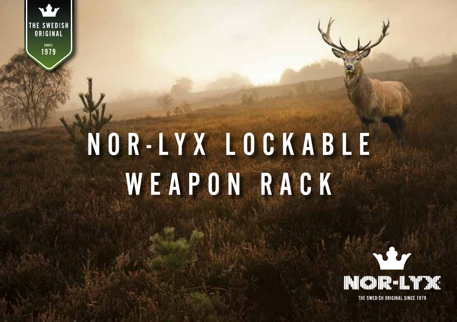#### **THE SWEDISH**<br>CRIGINAL **SINCE** 1979

# NOR-LYX LOCKABLE WEAPON RACK

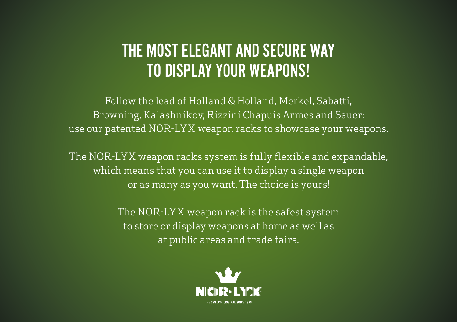#### The most elegant and secure way TO DISPLAY YOUR WEAPONS!

Follow the lead of Holland & Holland, Merkel, Sabatti, Browning, Kalashnikov, Rizzini Chapuis Armes and Sauer: use our patented NOR-LYX weapon racks to showcase your weapons.

The NOR-LYX weapon racks system is fully flexible and expandable, which means that you can use it to display a single weapon or as many as you want. The choice is yours!

> The NOR-LYX weapon rack is the safest system to store or display weapons at home as well as at public areas and trade fairs.

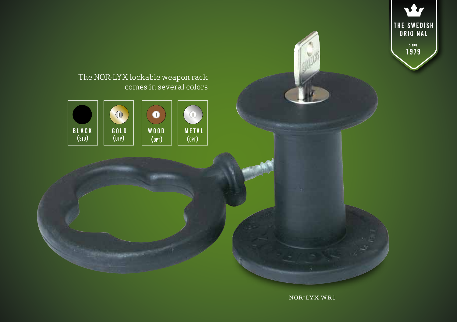

nor-lyx wr1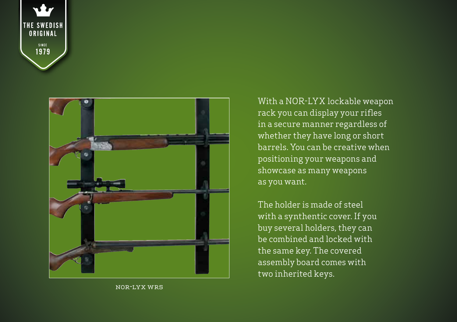



nor-lyx wr5

With a NOR-LYX lockable weapon rack you can display your rifles in a secure manner regardless of whether they have long or short barrels. You can be creative when positioning your weapons and showcase as many weapons as you want.

The holder is made of steel with a synthentic cover. If you buy several holders, they can be combined and locked with the same key. The covered assembly board comes with two inherited keys.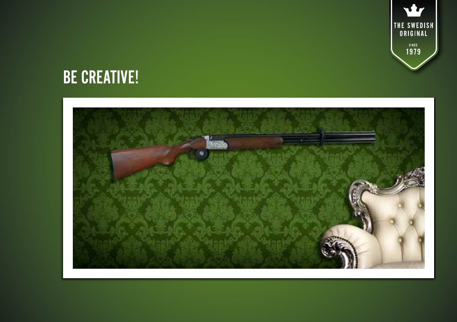

### **BE CREATIVE!**

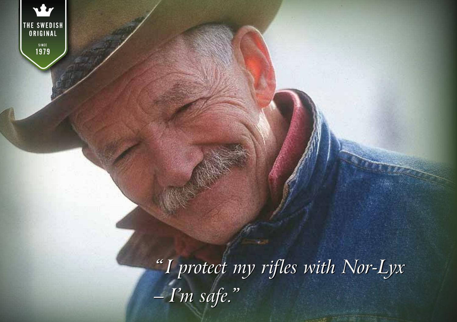

SINCE<br>1979

*"I protect my rifles with Nor-Lyx – I'm safe."*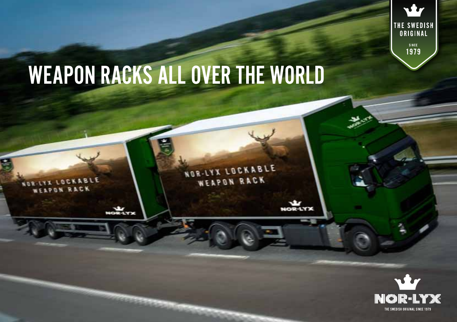## **WEAPON RACKS ALL OVER THE WORLD**

**NORMAN LO** 

 $250$ 

NOR-LYX LOCKABLE WEAPON RACK

> **I'd CD Re L PETITE** THE SWEDISH ORIGINAL SINCE 1979

**viv** 

THE SWEDISH<br>| ORIGINAL

SINCE<br>1979